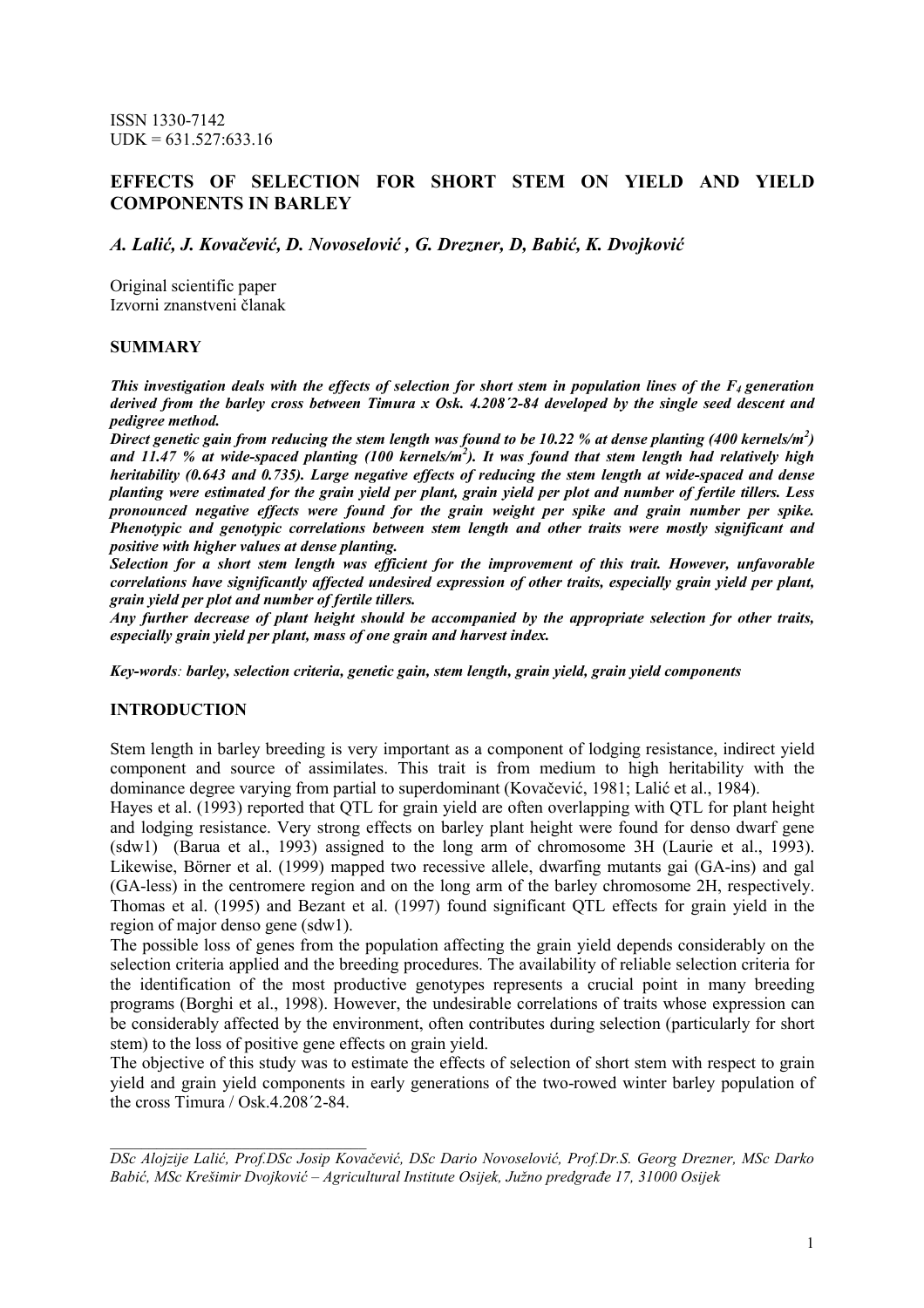ISSN 1330-7142  $UDK = 631.527:633.16$ 

# EFFECTS OF SELECTION FOR SHORT STEM ON YIELD AND YIELD COMPONENTS IN BARLEY

A. Lalić, J. Kovačević, D. Novoselović , G. Drezner, D, Babić, K. Dvojković

Original scientific paper Izvorni znanstveni članak

#### SUMMARY

This investigation deals with the effects of selection for short stem in population lines of the  $F_4$  generation derived from the barley cross between Timura x Osk. 4.208<sup>'2</sup>-84 developed by the single seed descent and pedigree method.

Direct genetic gain from reducing the stem length was found to be 10.22 % at dense planting (400 kernels/m<sup>2</sup>) and 11.47 % at wide-spaced planting (100 kernels/m<sup>2</sup>). It was found that stem length had relatively high heritability (0.643 and 0.735). Large negative effects of reducing the stem length at wide-spaced and dense planting were estimated for the grain yield per plant, grain yield per plot and number of fertile tillers. Less pronounced negative effects were found for the grain weight per spike and grain number per spike. Phenotypic and genotypic correlations between stem length and other traits were mostly significant and positive with higher values at dense planting.

Selection for a short stem length was efficient for the improvement of this trait. However, unfavorable correlations have significantly affected undesired expression of other traits, especially grain yield per plant, grain yield per plot and number of fertile tillers.

Any further decrease of plant height should be accompanied by the appropriate selection for other traits, especially grain yield per plant, mass of one grain and harvest index.

Key-words: barley, selection criteria, genetic gain, stem length, grain yield, grain yield components

### INTRODUCTION

 $\mathcal{L}_\text{max}$  and  $\mathcal{L}_\text{max}$  and  $\mathcal{L}_\text{max}$  and  $\mathcal{L}_\text{max}$ 

Stem length in barley breeding is very important as a component of lodging resistance, indirect yield component and source of assimilates. This trait is from medium to high heritability with the dominance degree varying from partial to superdominant (Kovačević, 1981; Lalić et al., 1984).

Hayes et al. (1993) reported that QTL for grain yield are often overlapping with QTL for plant height and lodging resistance. Very strong effects on barley plant height were found for denso dwarf gene (sdw1) (Barua et al., 1993) assigned to the long arm of chromosome 3H (Laurie et al., 1993). Likewise, Börner et al. (1999) mapped two recessive allele, dwarfing mutants gai (GA-ins) and gal (GA-less) in the centromere region and on the long arm of the barley chromosome 2H, respectively. Thomas et al. (1995) and Bezant et al. (1997) found significant QTL effects for grain yield in the region of major denso gene (sdw1).

The possible loss of genes from the population affecting the grain yield depends considerably on the selection criteria applied and the breeding procedures. The availability of reliable selection criteria for the identification of the most productive genotypes represents a crucial point in many breeding programs (Borghi et al., 1998). However, the undesirable correlations of traits whose expression can be considerably affected by the environment, often contributes during selection (particularly for short stem) to the loss of positive gene effects on grain yield.

The objective of this study was to estimate the effects of selection of short stem with respect to grain yield and grain yield components in early generations of the two-rowed winter barley population of the cross Timura / Osk.4.208´2-84.

DSc Alojzije Lalić, Prof.DSc Josip Kovačević, DSc Dario Novoselović, Prof.Dr.S. Georg Drezner, MSc Darko Babić, MSc Krešimir Dvojković – Agricultural Institute Osijek, Južno predgrañe 17, 31000 Osijek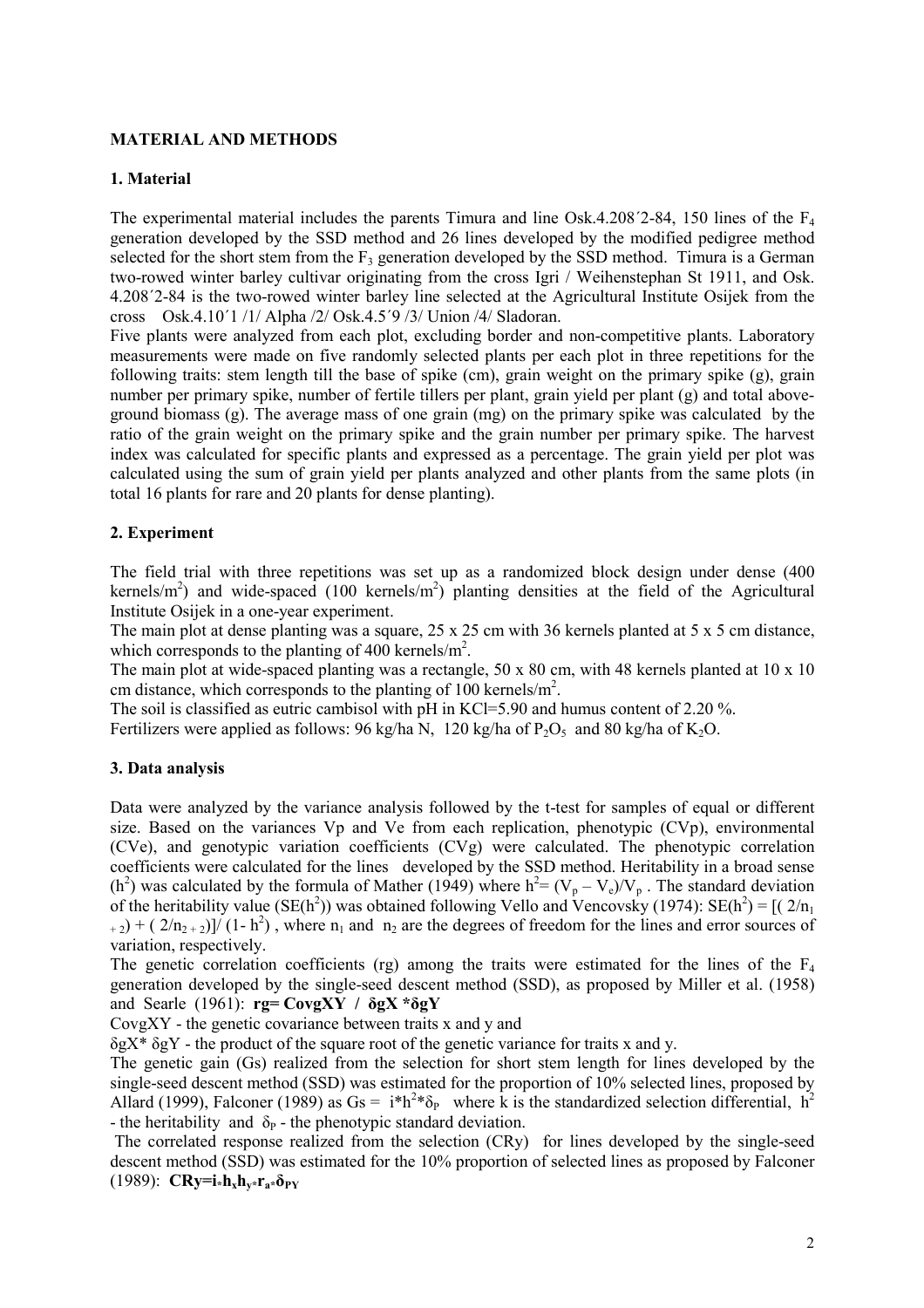### MATERIAL AND METHODS

### 1. Material

The experimental material includes the parents Timura and line Osk.4.208<sup>'</sup>2-84, 150 lines of the F<sub>4</sub> generation developed by the SSD method and 26 lines developed by the modified pedigree method selected for the short stem from the  $F_3$  generation developed by the SSD method. Timura is a German two-rowed winter barley cultivar originating from the cross Igri / Weihenstephan St 1911, and Osk. 4.208´2-84 is the two-rowed winter barley line selected at the Agricultural Institute Osijek from the cross Osk.4.10´1 /1/ Alpha /2/ Osk.4.5´9 /3/ Union /4/ Sladoran.

Five plants were analyzed from each plot, excluding border and non-competitive plants. Laboratory measurements were made on five randomly selected plants per each plot in three repetitions for the following traits: stem length till the base of spike (cm), grain weight on the primary spike (g), grain number per primary spike, number of fertile tillers per plant, grain yield per plant (g) and total aboveground biomass  $(g)$ . The average mass of one grain  $(mg)$  on the primary spike was calculated by the ratio of the grain weight on the primary spike and the grain number per primary spike. The harvest index was calculated for specific plants and expressed as a percentage. The grain yield per plot was calculated using the sum of grain yield per plants analyzed and other plants from the same plots (in total 16 plants for rare and 20 plants for dense planting).

# 2. Experiment

The field trial with three repetitions was set up as a randomized block design under dense (400 kernels/m<sup>2</sup>) and wide-spaced (100 kernels/m<sup>2</sup>) planting densities at the field of the Agricultural Institute Osijek in a one-year experiment.

The main plot at dense planting was a square, 25 x 25 cm with 36 kernels planted at 5 x 5 cm distance, which corresponds to the planting of  $400$  kernels/m<sup>2</sup>.

The main plot at wide-spaced planting was a rectangle, 50 x 80 cm, with 48 kernels planted at 10 x 10 cm distance, which corresponds to the planting of 100 kernels/m<sup>2</sup>.

The soil is classified as eutric cambisol with pH in KCl=5.90 and humus content of 2.20 %. Fertilizers were applied as follows:  $96 \text{ kg/ha N}$ ,  $120 \text{ kg/ha of P<sub>2</sub>O<sub>5</sub>}$  and  $80 \text{ kg/ha of K<sub>2</sub>O}$ .

### 3. Data analysis

Data were analyzed by the variance analysis followed by the t-test for samples of equal or different size. Based on the variances Vp and Ve from each replication, phenotypic (CVp), environmental (CVe), and genotypic variation coefficients (CVg) were calculated. The phenotypic correlation coefficients were calculated for the lines developed by the SSD method. Heritability in a broad sense (h<sup>2</sup>) was calculated by the formula of Mather (1949) where h<sup>2</sup> = (V<sub>p</sub> – V<sub>e</sub>)/V<sub>p</sub>. The standard deviation of the heritability value (SE(h<sup>2</sup>)) was obtained following Vello and Vencovsky (1974): SE(h<sup>2</sup>) = [( $2/n_1$ )  $(t_{+2})$  + (2/n<sub>2+2</sub>)]/ (1-h<sup>2</sup>), where n<sub>1</sub> and n<sub>2</sub> are the degrees of freedom for the lines and error sources of variation, respectively.

The genetic correlation coefficients (rg) among the traits were estimated for the lines of the  $F_4$ generation developed by the single-seed descent method (SSD), as proposed by Miller et al. (1958) and Searle (1961):  $rg = CovgXY / \delta gX * \delta gY$ 

CovgXY - the genetic covariance between traits x and y and

 $\delta g X^* \delta g Y$  - the product of the square root of the genetic variance for traits x and y.

The genetic gain (Gs) realized from the selection for short stem length for lines developed by the single-seed descent method (SSD) was estimated for the proportion of 10% selected lines, proposed by Allard (1999), Falconer (1989) as  $Gs = i*h^2*\delta_P$  where k is the standardized selection differential,  $h^2$ - the heritability and  $\delta_P$  - the phenotypic standard deviation.

 The correlated response realized from the selection (CRy) for lines developed by the single-seed descent method (SSD) was estimated for the 10% proportion of selected lines as proposed by Falconer (1989):  $CRv=i*h_xh_v*r_a*\delta_{PV}$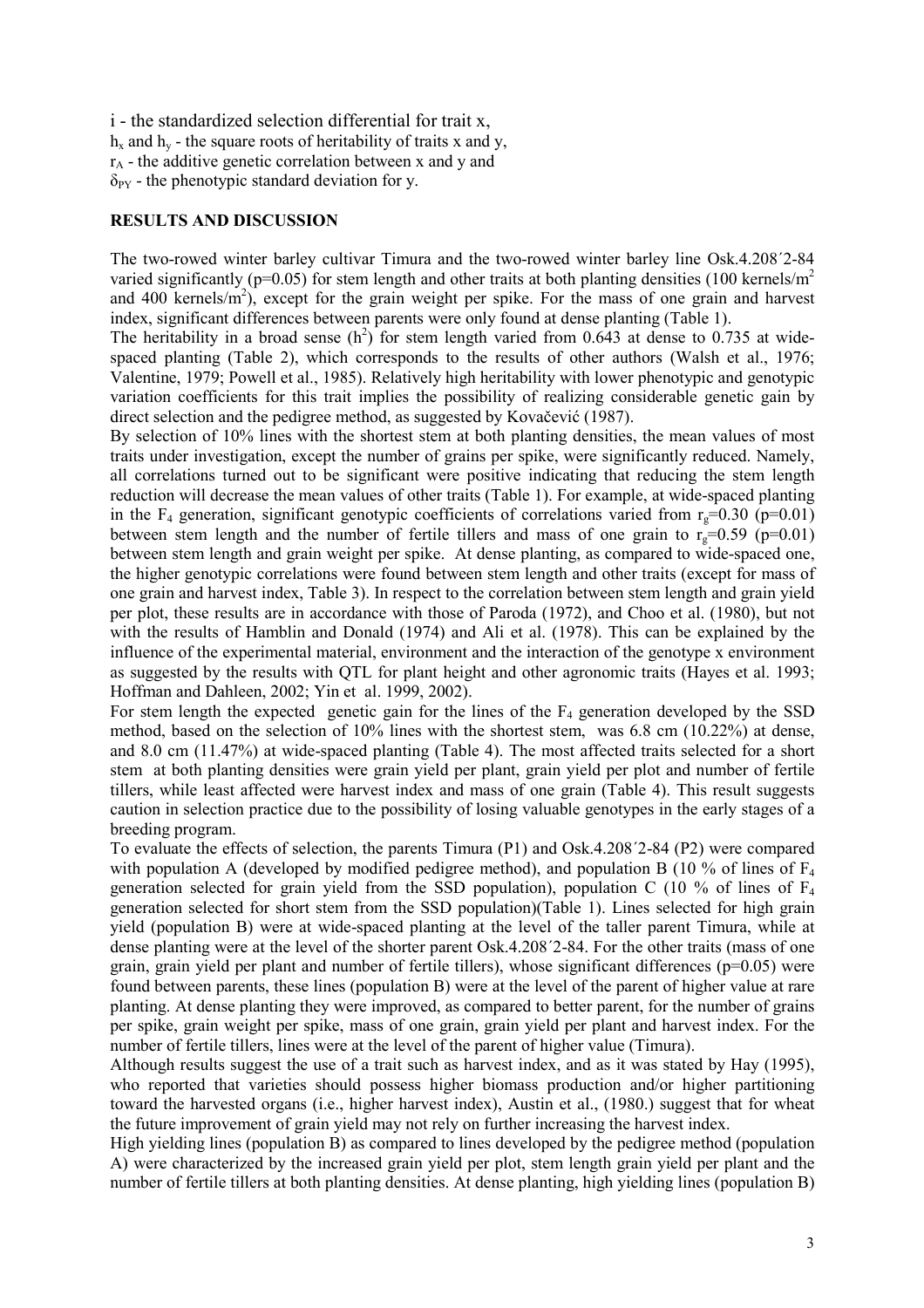i - the standardized selection differential for trait x,  $h_x$  and  $h_y$  - the square roots of heritability of traits x and y,  $r_A$  - the additive genetic correlation between x and y and  $\delta_{PY}$  - the phenotypic standard deviation for y.

### RESULTS AND DISCUSSION

The two-rowed winter barley cultivar Timura and the two-rowed winter barley line Osk.4.208´2-84 varied significantly ( $p=0.05$ ) for stem length and other traits at both planting densities (100 kernels/ $m<sup>2</sup>$ and 400 kernels/ $m^2$ ), except for the grain weight per spike. For the mass of one grain and harvest index, significant differences between parents were only found at dense planting (Table 1).

The heritability in a broad sense  $(h^2)$  for stem length varied from 0.643 at dense to 0.735 at widespaced planting (Table 2), which corresponds to the results of other authors (Walsh et al., 1976; Valentine, 1979; Powell et al., 1985). Relatively high heritability with lower phenotypic and genotypic variation coefficients for this trait implies the possibility of realizing considerable genetic gain by direct selection and the pedigree method, as suggested by Kovačević (1987).

By selection of 10% lines with the shortest stem at both planting densities, the mean values of most traits under investigation, except the number of grains per spike, were significantly reduced. Namely, all correlations turned out to be significant were positive indicating that reducing the stem length reduction will decrease the mean values of other traits (Table 1). For example, at wide-spaced planting in the F<sub>4</sub> generation, significant genotypic coefficients of correlations varied from  $r<sub>g</sub>=0.30$  (p=0.01) between stem length and the number of fertile tillers and mass of one grain to  $r_g=0.59$  (p=0.01) between stem length and grain weight per spike. At dense planting, as compared to wide-spaced one, the higher genotypic correlations were found between stem length and other traits (except for mass of one grain and harvest index, Table 3). In respect to the correlation between stem length and grain yield per plot, these results are in accordance with those of Paroda (1972), and Choo et al. (1980), but not with the results of Hamblin and Donald (1974) and Ali et al. (1978). This can be explained by the influence of the experimental material, environment and the interaction of the genotype x environment as suggested by the results with QTL for plant height and other agronomic traits (Hayes et al. 1993; Hoffman and Dahleen, 2002; Yin et al. 1999, 2002).

For stem length the expected genetic gain for the lines of the  $F_4$  generation developed by the SSD method, based on the selection of 10% lines with the shortest stem, was 6.8 cm (10.22%) at dense, and 8.0 cm (11.47%) at wide-spaced planting (Table 4). The most affected traits selected for a short stem at both planting densities were grain yield per plant, grain yield per plot and number of fertile tillers, while least affected were harvest index and mass of one grain (Table 4). This result suggests caution in selection practice due to the possibility of losing valuable genotypes in the early stages of a breeding program.

To evaluate the effects of selection, the parents Timura (P1) and Osk.4.208´2-84 (P2) were compared with population A (developed by modified pedigree method), and population B (10 % of lines of  $F_4$ generation selected for grain yield from the SSD population), population C (10 % of lines of  $F_4$ generation selected for short stem from the SSD population)(Table 1). Lines selected for high grain yield (population B) were at wide-spaced planting at the level of the taller parent Timura, while at dense planting were at the level of the shorter parent Osk.4.208´2-84. For the other traits (mass of one grain, grain yield per plant and number of fertile tillers), whose significant differences ( $p=0.05$ ) were found between parents, these lines (population B) were at the level of the parent of higher value at rare planting. At dense planting they were improved, as compared to better parent, for the number of grains per spike, grain weight per spike, mass of one grain, grain yield per plant and harvest index. For the number of fertile tillers, lines were at the level of the parent of higher value (Timura).

Although results suggest the use of a trait such as harvest index, and as it was stated by Hay (1995), who reported that varieties should possess higher biomass production and/or higher partitioning toward the harvested organs (i.e., higher harvest index), Austin et al., (1980.) suggest that for wheat the future improvement of grain yield may not rely on further increasing the harvest index.

High yielding lines (population B) as compared to lines developed by the pedigree method (population A) were characterized by the increased grain yield per plot, stem length grain yield per plant and the number of fertile tillers at both planting densities. At dense planting, high yielding lines (population B)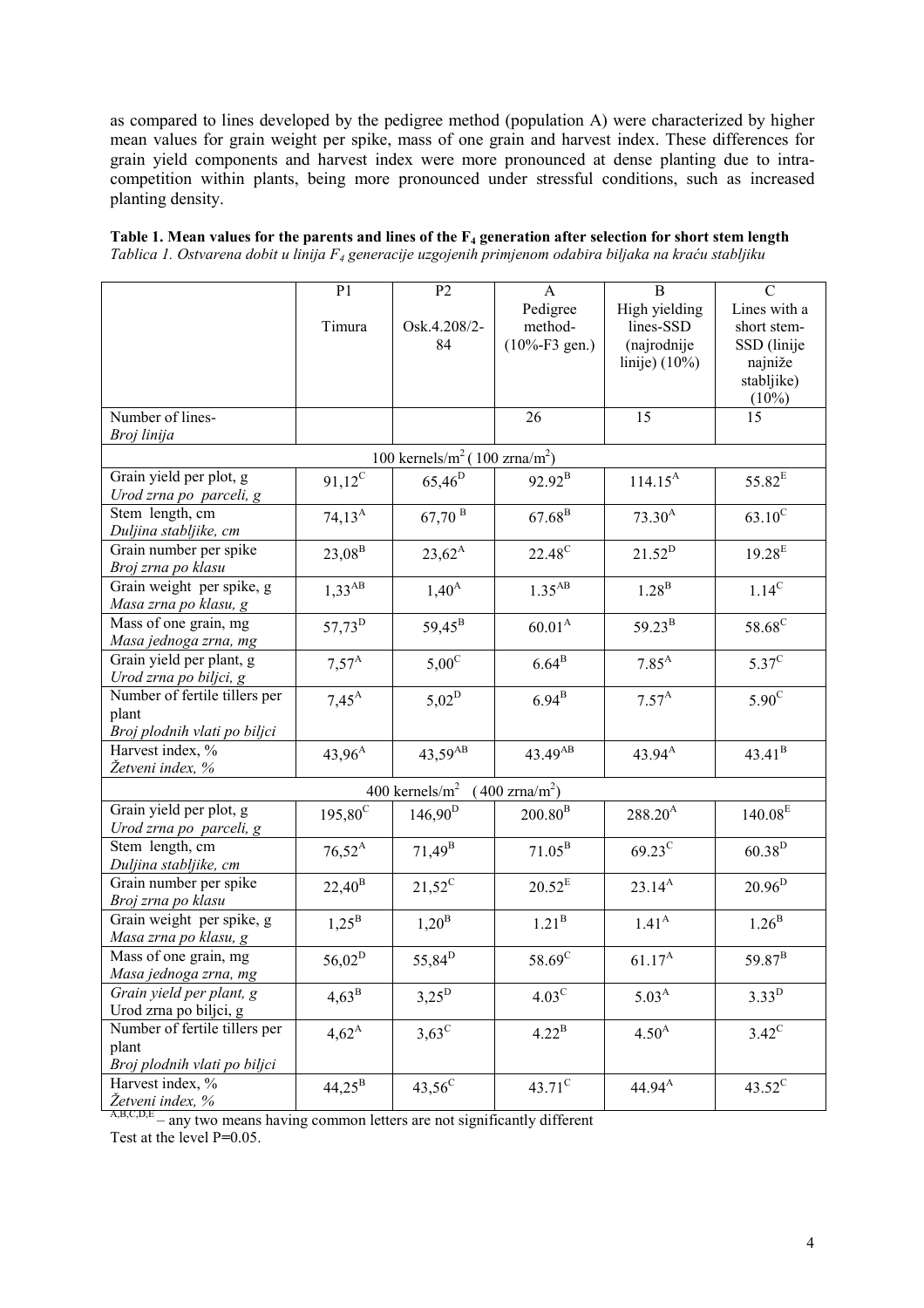as compared to lines developed by the pedigree method (population A) were characterized by higher mean values for grain weight per spike, mass of one grain and harvest index. These differences for grain yield components and harvest index were more pronounced at dense planting due to intracompetition within plants, being more pronounced under stressful conditions, such as increased planting density.

| Table 1. Mean values for the parents and lines of the $F_4$ generation after selection for short stem length         |  |
|----------------------------------------------------------------------------------------------------------------------|--|
| Tablica 1. Ostvarena dobit u linija F <sub>4</sub> generacije uzgojenih primjenom odabira biljaka na kraću stabljiku |  |

|                                                         | P <sub>1</sub>     | P <sub>2</sub>                                        | $\mathbf{A}$               | B                 | $\mathcal{C}$       |
|---------------------------------------------------------|--------------------|-------------------------------------------------------|----------------------------|-------------------|---------------------|
|                                                         |                    |                                                       | Pedigree                   | High yielding     | Lines with a        |
|                                                         | Timura             | Osk.4.208/2-                                          | method-                    | lines-SSD         | short stem-         |
|                                                         |                    | 84                                                    | $(10\% - F3 \text{ gen.})$ | (najrodnije       |                     |
|                                                         |                    |                                                       |                            |                   | SSD (linije         |
|                                                         |                    |                                                       |                            | linije) $(10\%)$  | najniže             |
|                                                         |                    |                                                       |                            |                   | stabljike)          |
| Number of lines-                                        |                    |                                                       | 26                         | 15                | $(10\%)$<br>15      |
| Broj linija                                             |                    |                                                       |                            |                   |                     |
|                                                         |                    |                                                       |                            |                   |                     |
|                                                         |                    | 100 kernels/m <sup>2</sup> (100 zrna/m <sup>2</sup> ) |                            |                   |                     |
| Grain yield per plot, g                                 | $91,12^C$          | $65,46^{D}$                                           | $92.92^{\rm B}$            | $114.15^{A}$      | $55.82^{\rm E}$     |
| Urod zrna po parceli, g                                 |                    |                                                       |                            |                   |                     |
| Stem length, cm                                         | $74,13^A$          | $67{,}70$ $^{\mathrm{B}}$                             | $67.68^{B}$                | $73.30^{A}$       | $63.10^{\circ}$     |
| Duljina stabljike, cm                                   |                    |                                                       |                            |                   |                     |
| Grain number per spike                                  | $23,08^{\rm B}$    | $23,62^A$                                             | 22.48 <sup>C</sup>         | $21.52^D$         | $19.28^{E}$         |
| Broj zrna po klasu                                      |                    |                                                       |                            |                   |                     |
| Grain weight per spike, g                               | $1,33^{AB}$        | $1,40^{\rm A}$                                        | $1.35^{AB}$                | $1.28^{\rm B}$    | $1.14^{\rm C}$      |
| Masa zrna po klasu, g                                   |                    |                                                       |                            |                   |                     |
| Mass of one grain, mg                                   | 57,73 <sup>D</sup> | 59,45 <sup>B</sup>                                    | $60.01^{A}$                | $59.23^{B}$       | 58.68 <sup>C</sup>  |
| Masa jednoga zrna, mg                                   |                    |                                                       |                            |                   |                     |
| Grain yield per plant, g                                | $7,57^{\rm A}$     | $5,00^{\circ}$                                        | $6.64^{\mathrm{B}}$        | $7.85^{A}$        | $5.37^{\circ}$      |
| Urod zrna po biljci, g<br>Number of fertile tillers per |                    |                                                       |                            |                   |                     |
|                                                         | $7,45^{\rm A}$     | $5,02^D$                                              | $6.94^{\mathrm{B}}$        | $7.57^{A}$        | $5.90^{\rm C}$      |
| plant                                                   |                    |                                                       |                            |                   |                     |
| Broj plodnih vlati po biljci                            |                    |                                                       |                            |                   |                     |
| Harvest index, %<br>Žetveni index, %                    | $43,96^{A}$        | 43,59 <sup>AB</sup>                                   | 43.49 <sup>AB</sup>        | $43.94^{A}$       | $43.41^{\rm B}$     |
|                                                         |                    |                                                       |                            |                   |                     |
|                                                         |                    | 400 kernels/ $m2$                                     | $(400 \text{ zrna/m}^2)$   |                   |                     |
| Grain yield per plot, g                                 | $195,80^{\circ}$   | $146,90^{\rm D}$                                      | $200.80^{B}$               | $288.20^{A}$      | $140.08^{\rm E}$    |
| Urod zrna po parceli, g                                 |                    |                                                       |                            |                   |                     |
| Stem length, cm                                         | $76,52^A$          | $71,49^{\rm B}$                                       | $71.05^{\rm B}$            | $69.23^C$         | $60.38^{D}$         |
| Duljina stabljike, cm                                   |                    |                                                       |                            |                   |                     |
| Grain number per spike                                  | $22,40^{\rm B}$    | $21,52^C$                                             | $20.52^E$                  | $23.14^{A}$       | $20.96^{D}$         |
| Broj zrna po klasu                                      |                    |                                                       |                            |                   |                     |
| Grain weight per spike, g                               | $1,25^{\rm B}$     | $1,20^{\rm B}$                                        | $1.21^{\mathrm{B}}$        | $1.41^{A}$        | $1.26^{\mathrm{B}}$ |
| Masa zrna po klasu, g                                   |                    |                                                       |                            |                   |                     |
| Mass of one grain, mg                                   | $56{,}02^{\rm D}$  | 55,84 <sup>D</sup>                                    | 58.69 <sup>C</sup>         | $61.17^A$         | 59.87 <sup>B</sup>  |
| Masa jednoga zrna, mg                                   |                    |                                                       |                            |                   |                     |
| Grain yield per plant, g                                | $4,63^{\rm B}$     | $3,25^{D}$                                            | $4.03^{\circ}$             | 5.03 <sup>A</sup> | 3.33 <sup>D</sup>   |
| Urod zrna po biljci, g                                  |                    |                                                       |                            |                   |                     |
| Number of fertile tillers per                           | $4,62^{\rm A}$     | $3,63^{\circ}$                                        | $4.22^{\rm B}$             | $4.50^{A}$        | $3.42^{\circ}$      |
| plant                                                   |                    |                                                       |                            |                   |                     |
| Broj plodnih vlati po biljci                            |                    |                                                       |                            |                   |                     |
| Harvest index, %                                        | $44,25^{\rm B}$    | $43,56^{\circ}$                                       | $43.71^{\circ}$            | $44.94^{\rm A}$   | $43.52^{\circ}$     |
| Žetveni index, %                                        |                    |                                                       |                            |                   |                     |

 $A,B,C,D,E$  – any two means having common letters are not significantly different

Test at the level P=0.05.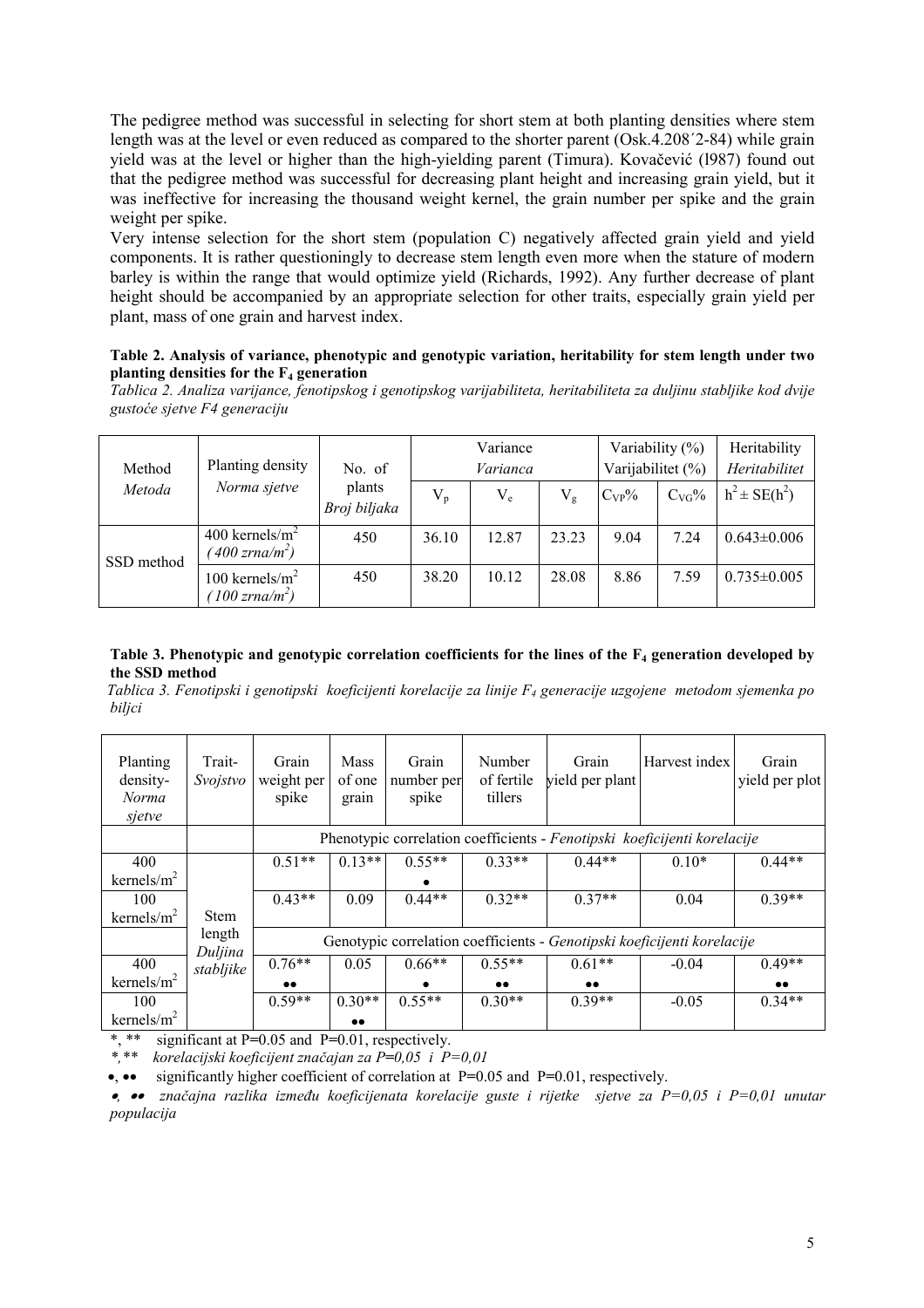The pedigree method was successful in selecting for short stem at both planting densities where stem length was at the level or even reduced as compared to the shorter parent (Osk.4.208´2-84) while grain yield was at the level or higher than the high-yielding parent (Timura). Kovačević (l987) found out that the pedigree method was successful for decreasing plant height and increasing grain yield, but it was ineffective for increasing the thousand weight kernel, the grain number per spike and the grain weight per spike.

Very intense selection for the short stem (population C) negatively affected grain yield and yield components. It is rather questioningly to decrease stem length even more when the stature of modern barley is within the range that would optimize yield (Richards, 1992). Any further decrease of plant height should be accompanied by an appropriate selection for other traits, especially grain yield per plant, mass of one grain and harvest index.

#### Table 2. Analysis of variance, phenotypic and genotypic variation, heritability for stem length under two planting densities for the  $F_4$  generation

Tablica 2. Analiza varijance, fenotipskog i genotipskog varijabiliteta, heritabiliteta za duljinu stabljike kod dvije gustoće sjetve F4 generaciju

| Method<br>Metoda | Planting density<br>Norma sjetve                            | No. of                 | Variance<br>Varianca |         |             | Variability $(\%)$<br>Varijabilitet (%) |                | Heritability<br>Heritabilitet |
|------------------|-------------------------------------------------------------|------------------------|----------------------|---------|-------------|-----------------------------------------|----------------|-------------------------------|
|                  |                                                             | plants<br>Broj biljaka | $V_{p}$              | $V_{e}$ | $V_{\rm g}$ | $C_{VP}$ %                              | $C_{\rm VG}$ % | $h^2 \pm SE(h^2)$             |
| SSD method       | 400 kernels/ $m2$<br>$(400 \text{ z}$ rna/m <sup>2</sup> )  | 450                    | 36.10                | 12.87   | 23.23       | 9.04                                    | 7.24           | $0.643 \pm 0.006$             |
|                  | 100 kernels/ $m^2$<br>$(100 \text{ z}$ rna/m <sup>2</sup> ) | 450                    | 38.20                | 10.12   | 28.08       | 8.86                                    | 7.59           | $0.735 \pm 0.005$             |

#### Table 3. Phenotypic and genotypic correlation coefficients for the lines of the  $F_4$  generation developed by the SSD method

Tablica 3. Fenotipski i genotipski koeficijenti korelacije za linije  $F_4$  generacije uzgojene metodom sjemenka po biljci

| Planting<br>density-<br>Norma<br>sjetve | Trait-<br>Svojstvo | Grain<br>weight per<br>spike | <b>Mass</b><br>of one<br>grain | Grain<br>number per<br>spike | Number<br>of fertile<br>tillers | Grain<br>yield per plant | Harvest index                                                            | Grain<br>yield per plot |
|-----------------------------------------|--------------------|------------------------------|--------------------------------|------------------------------|---------------------------------|--------------------------|--------------------------------------------------------------------------|-------------------------|
|                                         |                    |                              |                                |                              |                                 |                          | Phenotypic correlation coefficients - Fenotipski koeficijenti korelacije |                         |
| 400                                     |                    | $0.51**$                     | $0.13**$                       | $0.55**$                     | $0.33**$                        | $0.44**$                 | $0.10*$                                                                  | $0.44**$                |
| kernels/ $m2$                           |                    |                              |                                |                              |                                 |                          |                                                                          |                         |
| 100                                     |                    | $0.43**$                     | 0.09                           | $0.44**$                     | $0.32**$                        | $0.37**$                 | 0.04                                                                     | $0.39**$                |
| kernels/ $m2$                           | <b>Stem</b>        |                              |                                |                              |                                 |                          |                                                                          |                         |
|                                         | length<br>Duljina  |                              |                                |                              |                                 |                          | Genotypic correlation coefficients - Genotipski koeficijenti korelacije  |                         |
| 400                                     | stabljike          | $0.76**$                     | 0.05                           | $0.66**$                     | $0.55**$                        | $0.61**$                 | $-0.04$                                                                  | $0.49**$                |
| kernels/ $m2$                           |                    | $\bullet\bullet$             |                                |                              | $\bullet\bullet$                | $\bullet\bullet$         |                                                                          | $\bullet\bullet$        |
| 100                                     |                    | $0.59**$                     | $0.30**$                       | $0.55**$                     | $0.30**$                        | $0.39**$                 | $-0.05$                                                                  | $0.34**$                |
| kernels/ $m2$                           |                    |                              | $\bullet\bullet$               |                              |                                 |                          |                                                                          |                         |

\*, \*\* significant at P=0.05 and P=0.01, respectively.<br>\* \* \* korelaciiski koeficijent značajan za P=0.05 i P

korelacijski koeficijent značajan za P=0,05 i P=0,01

•, •• significantly higher coefficient of correlation at P=0.05 and P=0.01, respectively.

•, •• značajna razlika između koeficijenata korelacije guste i rijetke sjetve za  $P=0,05$  i  $P=0,01$  unutar populacija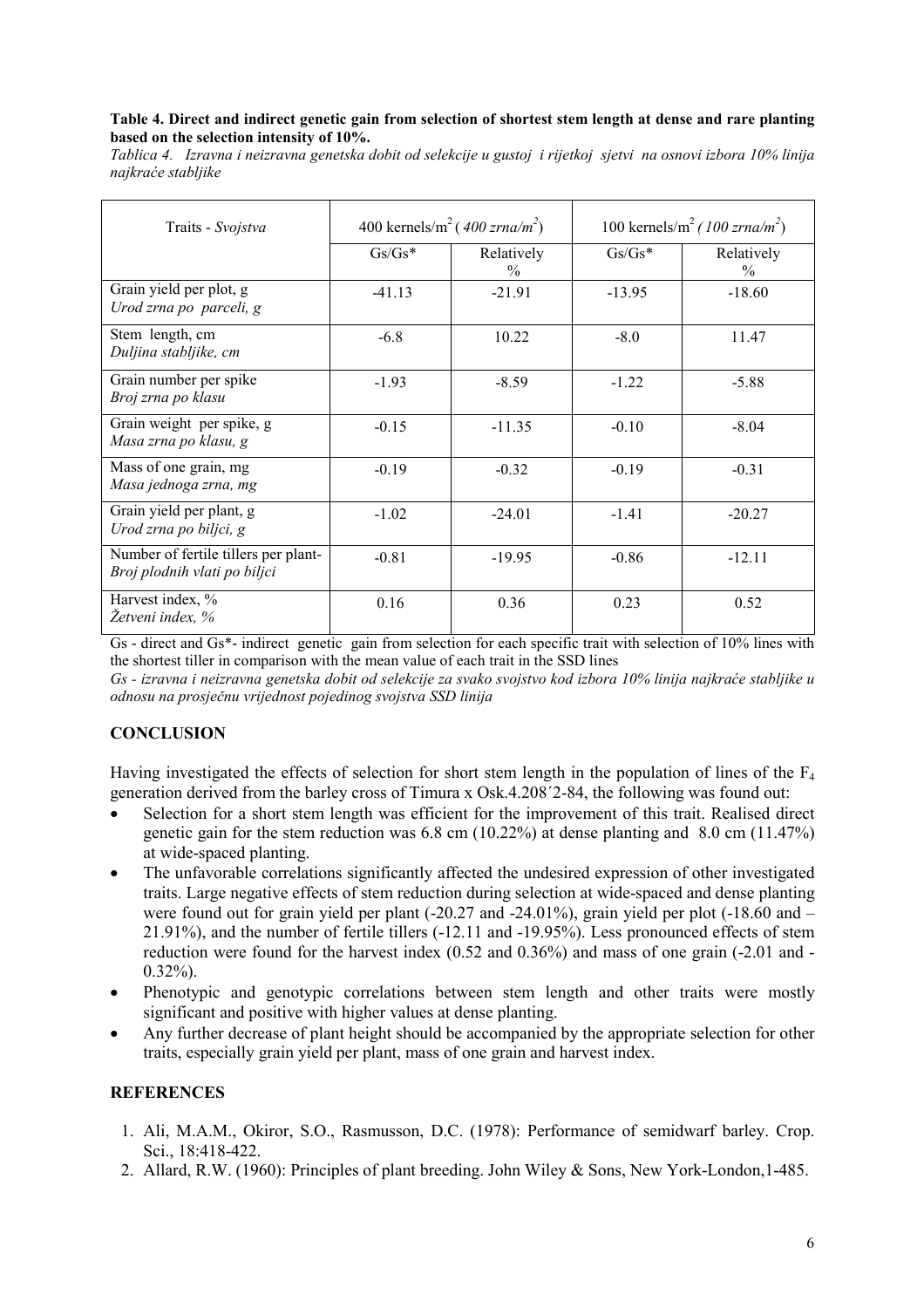#### Table 4. Direct and indirect genetic gain from selection of shortest stem length at dense and rare planting based on the selection intensity of 10%.

Tablica 4. Izravna i neizravna genetska dobit od selekcije u gustoj i rijetkoj sjetvi na osnovi izbora 10% linija najkraće stabljike

| Traits - Svojstva                                                    | 400 kernels/m <sup>2</sup> (400 zrna/m <sup>2</sup> ) |                    | 100 kernels/m <sup>2</sup> (100 zrna/m <sup>2</sup> ) |                    |  |
|----------------------------------------------------------------------|-------------------------------------------------------|--------------------|-------------------------------------------------------|--------------------|--|
|                                                                      | $Gs/Gs*$                                              | Relatively<br>$\%$ | $Gs/Gs*$                                              | Relatively<br>$\%$ |  |
| Grain yield per plot, g<br>Urod zrna po parceli, g                   | $-41.13$                                              | $-21.91$           | $-13.95$                                              | $-18.60$           |  |
| Stem length, cm<br>Duljina stabljike, cm                             | $-6.8$                                                | 10.22              | $-8.0$                                                | 11.47              |  |
| Grain number per spike<br>Broj zrna po klasu                         | $-1.93$                                               | $-8.59$            | $-1.22$                                               | $-5.88$            |  |
| Grain weight per spike, g<br>Masa zrna po klasu, g                   | $-0.15$                                               | $-11.35$           | $-0.10$                                               | $-8.04$            |  |
| Mass of one grain, mg<br>Masa jednoga zrna, mg                       | $-0.19$                                               | $-0.32$            | $-0.19$                                               | $-0.31$            |  |
| Grain yield per plant, g<br>Urod zrna po biljci, g                   | $-1.02$                                               | $-24.01$           | $-1.41$                                               | $-20.27$           |  |
| Number of fertile tillers per plant-<br>Broj plodnih vlati po biljci | $-0.81$                                               | $-19.95$           | $-0.86$                                               | $-12.11$           |  |
| Harvest index, %<br>Žetveni index, %                                 | 0.16                                                  | 0.36               | 0.23                                                  | 0.52               |  |

Gs - direct and Gs\*- indirect genetic gain from selection for each specific trait with selection of 10% lines with the shortest tiller in comparison with the mean value of each trait in the SSD lines

Gs - izravna i neizravna genetska dobit od selekcije za svako svojstvo kod izbora 10% linija najkraće stabljike u odnosu na prosječnu vrijednost pojedinog svojstva SSD linija

# **CONCLUSION**

Having investigated the effects of selection for short stem length in the population of lines of the F<sup>4</sup> generation derived from the barley cross of Timura x Osk.4.208´2-84, the following was found out:

- Selection for a short stem length was efficient for the improvement of this trait. Realised direct genetic gain for the stem reduction was 6.8 cm (10.22%) at dense planting and 8.0 cm (11.47%) at wide-spaced planting.
- The unfavorable correlations significantly affected the undesired expression of other investigated traits. Large negative effects of stem reduction during selection at wide-spaced and dense planting were found out for grain yield per plant (-20.27 and -24.01%), grain yield per plot (-18.60 and – 21.91%), and the number of fertile tillers (-12.11 and -19.95%). Less pronounced effects of stem reduction were found for the harvest index (0.52 and 0.36%) and mass of one grain (-2.01 and - 0.32%).
- Phenotypic and genotypic correlations between stem length and other traits were mostly significant and positive with higher values at dense planting.
- Any further decrease of plant height should be accompanied by the appropriate selection for other traits, especially grain yield per plant, mass of one grain and harvest index.

# **REFERENCES**

- 1. Ali, M.A.M., Okiror, S.O., Rasmusson, D.C. (1978): Performance of semidwarf barley. Crop. Sci., 18:418-422.
- 2. Allard, R.W. (1960): Principles of plant breeding. John Wiley & Sons, New York-London,1-485.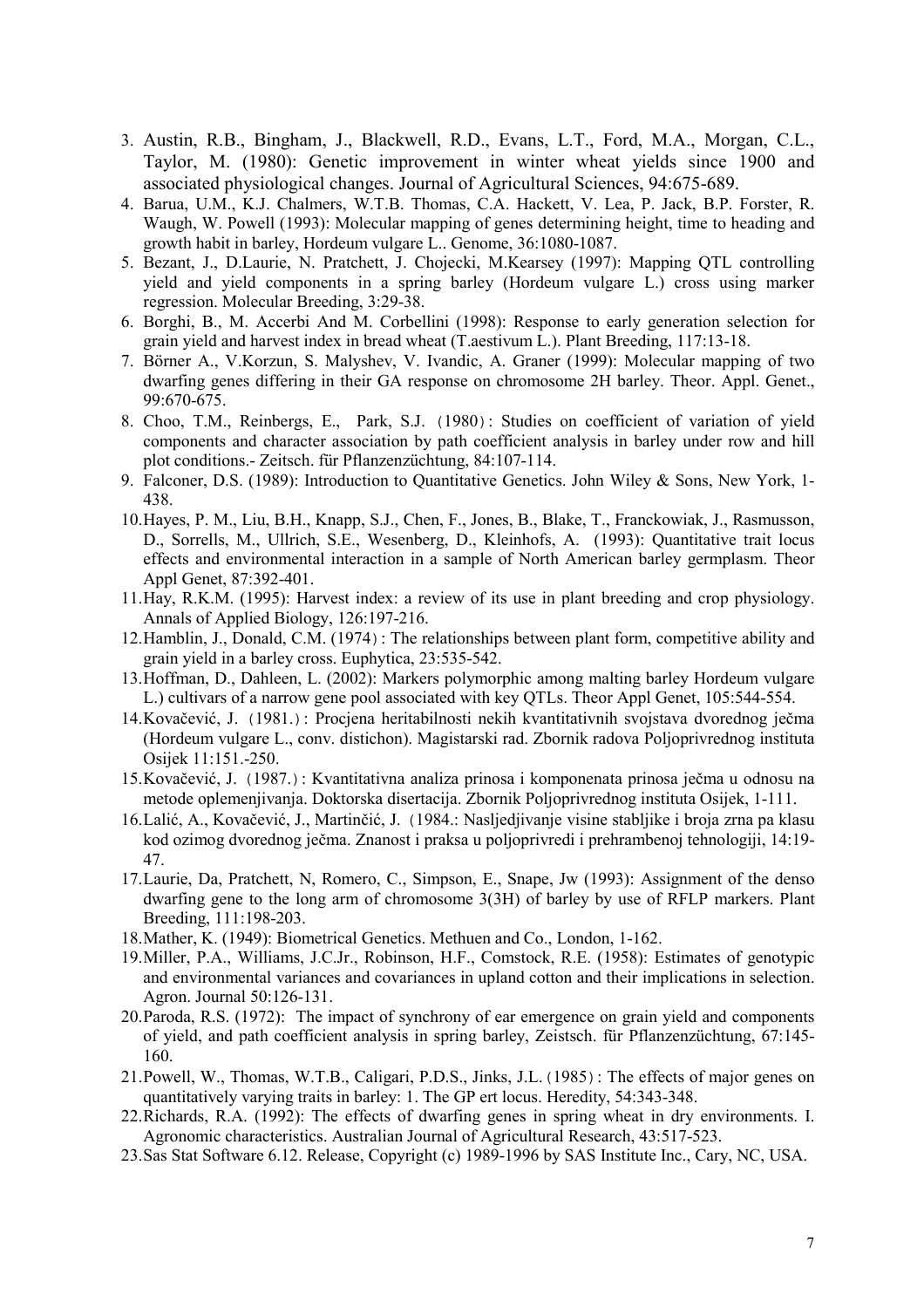- 3. Austin, R.B., Bingham, J., Blackwell, R.D., Evans, L.T., Ford, M.A., Morgan, C.L., Taylor, M. (1980): Genetic improvement in winter wheat yields since 1900 and associated physiological changes. Journal of Agricultural Sciences, 94:675-689.
- 4. Barua, U.M., K.J. Chalmers, W.T.B. Thomas, C.A. Hackett, V. Lea, P. Jack, B.P. Forster, R. Waugh, W. Powell (1993): Molecular mapping of genes determining height, time to heading and growth habit in barley, Hordeum vulgare L.. Genome, 36:1080-1087.
- 5. Bezant, J., D.Laurie, N. Pratchett, J. Chojecki, M.Kearsey (1997): Mapping QTL controlling yield and yield components in a spring barley (Hordeum vulgare L.) cross using marker regression. Molecular Breeding, 3:29-38.
- 6. Borghi, B., M. Accerbi And M. Corbellini (1998): Response to early generation selection for grain yield and harvest index in bread wheat (T.aestivum L.). Plant Breeding, 117:13-18.
- 7. Börner A., V.Korzun, S. Malyshev, V. Ivandic, A. Graner (1999): Molecular mapping of two dwarfing genes differing in their GA response on chromosome 2H barley. Theor. Appl. Genet., 99:670-675.
- 8. Choo, T.M., Reinbergs, E., Park, S.J. (1980): Studies on coefficient of variation of yield components and character association by path coefficient analysis in barley under row and hill plot conditions.- Zeitsch. für Pflanzenzüchtung, 84:107-114.
- 9. Falconer, D.S. (1989): Introduction to Quantitative Genetics. John Wiley & Sons, New York, 1- 438.
- 10.Hayes, P. M., Liu, B.H., Knapp, S.J., Chen, F., Jones, B., Blake, T., Franckowiak, J., Rasmusson, D., Sorrells, M., Ullrich, S.E., Wesenberg, D., Kleinhofs, A. (1993): Quantitative trait locus effects and environmental interaction in a sample of North American barley germplasm. Theor Appl Genet, 87:392-401.
- 11.Hay, R.K.M. (1995): Harvest index: a review of its use in plant breeding and crop physiology. Annals of Applied Biology, 126:197-216.
- 12.Hamblin, J., Donald, C.M. (1974): The relationships between plant form, competitive ability and grain yield in a barley cross. Euphytica, 23:535-542.
- 13.Hoffman, D., Dahleen, L. (2002): Markers polymorphic among malting barley Hordeum vulgare L.) cultivars of a narrow gene pool associated with key QTLs. Theor Appl Genet, 105:544-554.
- 14.Kovačević, J. (1981.): Procjena heritabilnosti nekih kvantitativnih svojstava dvorednog ječma (Hordeum vulgare L., conv. distichon). Magistarski rad. Zbornik radova Poljoprivrednog instituta Osijek 11:151.-250.
- 15.Kovačević, J. (1987.): Kvantitativna analiza prinosa i komponenata prinosa ječma u odnosu na metode oplemenjivanja. Doktorska disertacija. Zbornik Poljoprivrednog instituta Osijek, 1-111.
- 16.Lalić, A., Kovačević, J., Martinčić, J. (1984.: Nasljedjivanje visine stabljike i broja zrna pa klasu kod ozimog dvorednog ječma. Znanost i praksa u poljoprivredi i prehrambenoj tehnologiji, 14:19- 47.
- 17.Laurie, Da, Pratchett, N, Romero, C., Simpson, E., Snape, Jw (1993): Assignment of the denso dwarfing gene to the long arm of chromosome 3(3H) of barley by use of RFLP markers. Plant Breeding, 111:198-203.
- 18.Mather, K. (1949): Biometrical Genetics. Methuen and Co., London, 1-162.
- 19.Miller, P.A., Williams, J.C.Jr., Robinson, H.F., Comstock, R.E. (1958): Estimates of genotypic and environmental variances and covariances in upland cotton and their implications in selection. Agron. Journal 50:126-131.
- 20.Paroda, R.S. (1972): The impact of synchrony of ear emergence on grain yield and components of yield, and path coefficient analysis in spring barley, Zeistsch. für Pflanzenzüchtung, 67:145- 160.
- 21.Powell, W., Thomas, W.T.B., Caligari, P.D.S., Jinks, J.L.(1985): The effects of major genes on quantitatively varying traits in barley: 1. The GP ert locus. Heredity, 54:343-348.
- 22.Richards, R.A. (1992): The effects of dwarfing genes in spring wheat in dry environments. I. Agronomic characteristics. Australian Journal of Agricultural Research, 43:517-523.
- 23.Sas Stat Software 6.12. Release, Copyright (c) 1989-1996 by SAS Institute Inc., Cary, NC, USA.